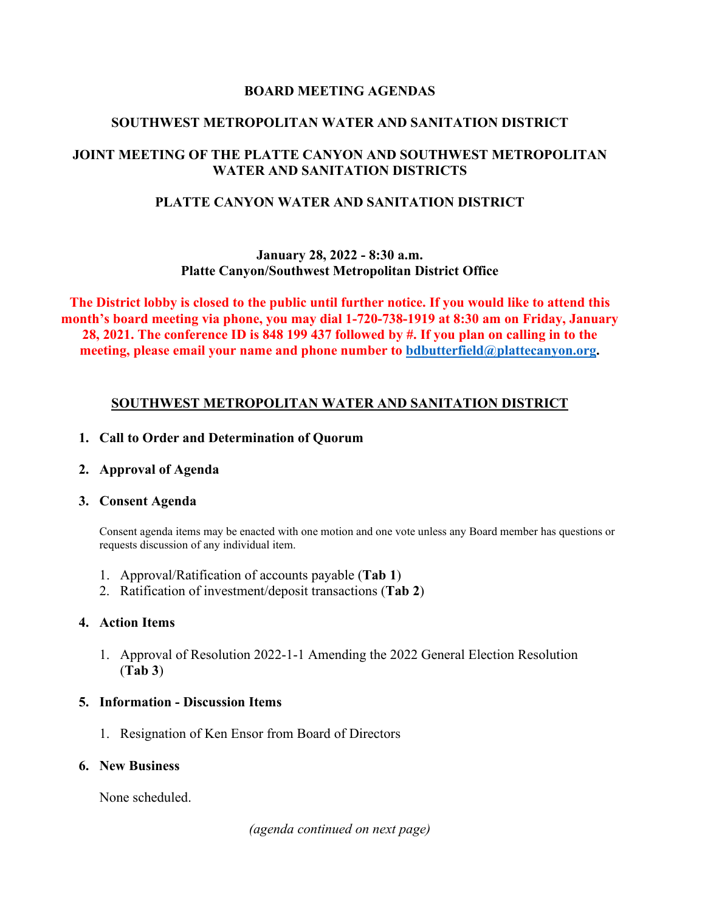### **BOARD MEETING AGENDAS**

## **SOUTHWEST METROPOLITAN WATER AND SANITATION DISTRICT**

# **JOINT MEETING OF THE PLATTE CANYON AND SOUTHWEST METROPOLITAN WATER AND SANITATION DISTRICTS**

## **PLATTE CANYON WATER AND SANITATION DISTRICT**

### **January 28, 2022 - 8:30 a.m. Platte Canyon/Southwest Metropolitan District Office**

**The District lobby is closed to the public until further notice. If you would like to attend this month's board meeting via phone, you may dial 1-720-738-1919 at 8:30 am on Friday, January 28, 2021. The conference ID is 848 199 437 followed by #. If you plan on calling in to the meeting, please email your name and phone number to [bdbutterfield@plattecanyon.org.](mailto:bdbutterfield@plattecanyon.org)**

## **SOUTHWEST METROPOLITAN WATER AND SANITATION DISTRICT**

### **1. Call to Order and Determination of Quorum**

### **2. Approval of Agenda**

#### **3. Consent Agenda**

Consent agenda items may be enacted with one motion and one vote unless any Board member has questions or requests discussion of any individual item.

- 1. Approval/Ratification of accounts payable (**Tab 1**)
- 2. Ratification of investment/deposit transactions (**Tab 2**)

### **4. Action Items**

1. Approval of Resolution 2022-1-1 Amending the 2022 General Election Resolution (**Tab 3**)

### **5. Information - Discussion Items**

1. Resignation of Ken Ensor from Board of Directors

# **6. New Business**

None scheduled.

*(agenda continued on next page)*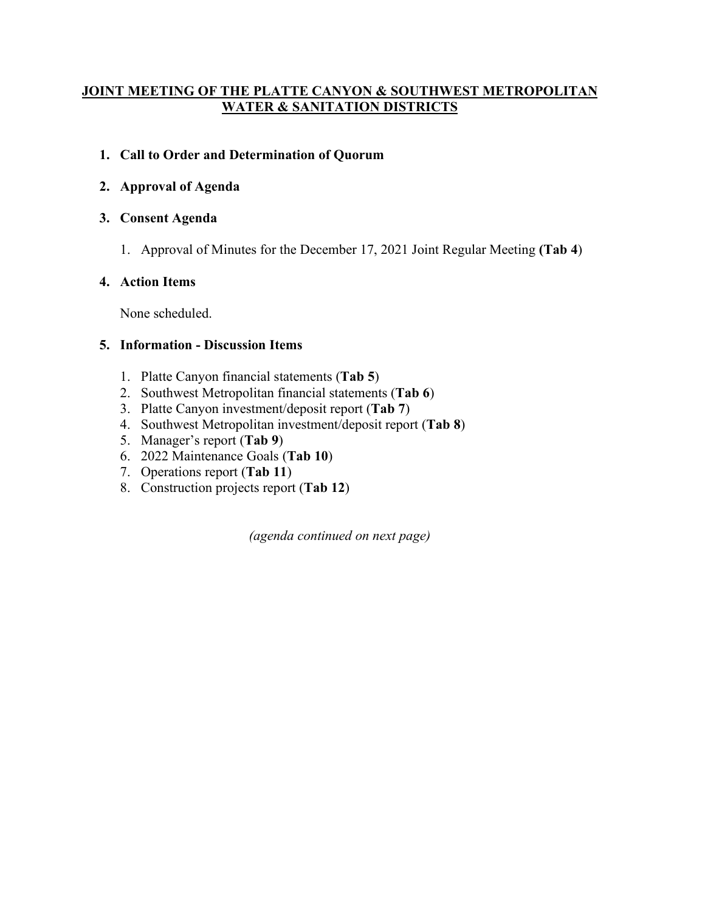## **JOINT MEETING OF THE PLATTE CANYON & SOUTHWEST METROPOLITAN WATER & SANITATION DISTRICTS**

# **1. Call to Order and Determination of Quorum**

# **2. Approval of Agenda**

## **3. Consent Agenda**

1. Approval of Minutes for the December 17, 2021 Joint Regular Meeting **(Tab 4**)

## **4. Action Items**

None scheduled.

## **5. Information - Discussion Items**

- 1. Platte Canyon financial statements (**Tab 5**)
- 2. Southwest Metropolitan financial statements (**Tab 6**)
- 3. Platte Canyon investment/deposit report (**Tab 7**)
- 4. Southwest Metropolitan investment/deposit report (**Tab 8**)
- 5. Manager's report (**Tab 9**)
- 6. 2022 Maintenance Goals (**Tab 10**)
- 7. Operations report (**Tab 11**)
- 8. Construction projects report (**Tab 12**)

*(agenda continued on next page)*